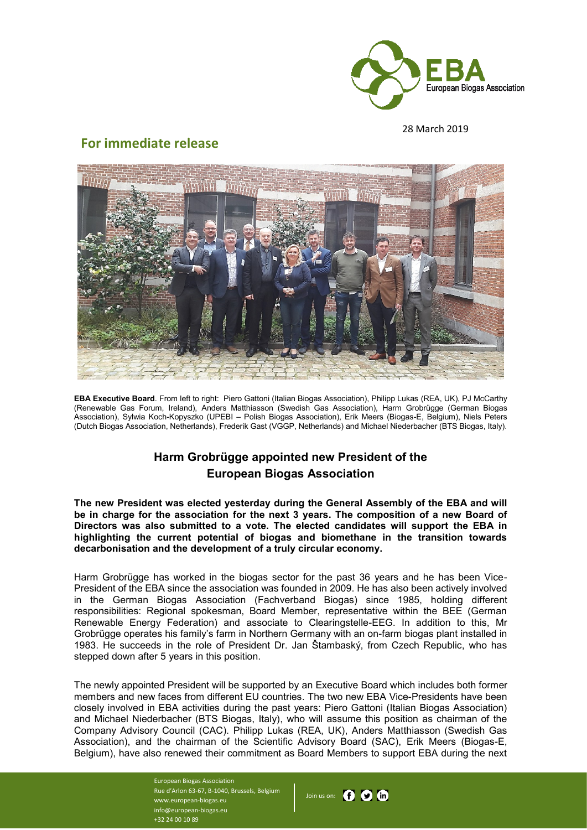

28 March 2019

## **For immediate release**



**EBA Executive Board**. From left to right: Piero Gattoni (Italian Biogas Association), Philipp Lukas (REA, UK), PJ McCarthy (Renewable Gas Forum, Ireland), Anders Matthiasson (Swedish Gas Association), Harm Grobrügge (German Biogas Association), Sylwia Koch-Kopyszko (UPEBI – Polish Biogas Association), Erik Meers (Biogas-E, Belgium), Niels Peters (Dutch Biogas Association, Netherlands), Frederik Gast (VGGP, Netherlands) and Michael Niederbacher (BTS Biogas, Italy).

## **Harm Grobrügge appointed new President of the European Biogas Association**

**The new President was elected yesterday during the General Assembly of the EBA and will be in charge for the association for the next 3 years. The composition of a new Board of Directors was also submitted to a vote. The elected candidates will support the EBA in highlighting the current potential of biogas and biomethane in the transition towards decarbonisation and the development of a truly circular economy.**

Harm Grobrügge has worked in the biogas sector for the past 36 years and he has been Vice-President of the EBA since the association was founded in 2009. He has also been actively involved in the German Biogas Association (Fachverband Biogas) since 1985, holding different responsibilities: Regional spokesman, Board Member, representative within the BEE (German Renewable Energy Federation) and associate to Clearingstelle-EEG. In addition to this, Mr Grobrügge operates his family's farm in Northern Germany with an on-farm biogas plant installed in 1983. He succeeds in the role of President Dr. Jan Štambaský, from Czech Republic, who has stepped down after 5 years in this position.

The newly appointed President will be supported by an Executive Board which includes both former members and new faces from different EU countries. The two new EBA Vice-Presidents have been closely involved in EBA activities during the past years: Piero Gattoni (Italian Biogas Association) and Michael Niederbacher (BTS Biogas, Italy), who will assume this position as chairman of the Company Advisory Council (CAC). Philipp Lukas (REA, UK), Anders Matthiasson (Swedish Gas Association), and the chairman of the Scientific Advisory Board (SAC), Erik Meers (Biogas-E, Belgium), have also renewed their commitment as Board Members to support EBA during the next

> European Biogas Association Rue d'Arlon 63-67, B-1040, Brussels, Belgium www.european-biogas.eu info@european-biogas.eu +32 24 00 10 89